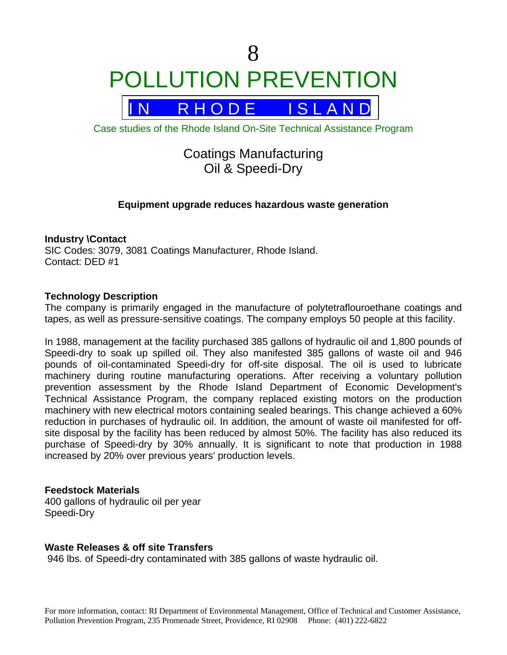# 8 POLLUTION PREVENTION



Case studies of the Rhode Island On-Site Technical Assistance Program

# Coatings Manufacturing Oil & Speedi-Dry

## **Equipment upgrade reduces hazardous waste generation**

#### **Industry \Contact**

SIC Codes: 3079, 3081 Coatings Manufacturer, Rhode Island. Contact: DED #1

#### **Technology Description**

The company is primarily engaged in the manufacture of polytetraflouroethane coatings and tapes, as well as pressure-sensitive coatings. The company employs 50 people at this facility.

In 1988, management at the facility purchased 385 gallons of hydraulic oil and 1,800 pounds of Speedi-dry to soak up spilled oil. They also manifested 385 gallons of waste oil and 946 pounds of oil-contaminated Speedi-dry for off-site disposal. The oil is used to lubricate machinery during routine manufacturing operations. After receiving a voluntary pollution prevention assessment by the Rhode Island Department of Economic Development's Technical Assistance Program, the company replaced existing motors on the production machinery with new electrical motors containing sealed bearings. This change achieved a 60% reduction in purchases of hydraulic oil. In addition, the amount of waste oil manifested for offsite disposal by the facility has been reduced by almost 50%. The facility has also reduced its purchase of Speedi-dry by 30% annually. It is significant to note that production in 1988 increased by 20% over previous years' production levels.

#### **Feedstock Materials**

400 gallons of hydraulic oil per year Speedi-Dry

#### **Waste Releases & off site Transfers**

946 lbs. of Speedi-dry contaminated with 385 gallons of waste hydraulic oil.